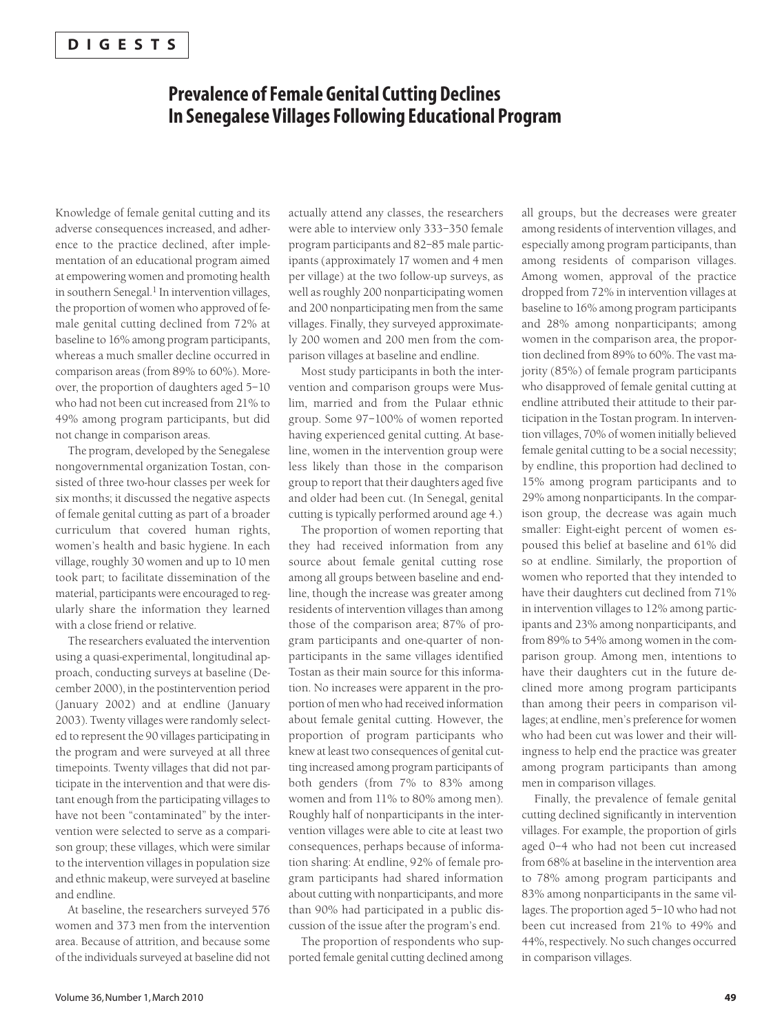## **Prevalence of Female Genital Cutting Declines In Senegalese Villages Following Educational Program**

Knowledge of female genital cutting and its adverse consequences increased, and adherence to the practice declined, after implementation of an educational program aimed at empowering women and promoting health in southern Senegal.<sup>1</sup> In intervention villages, the proportion of women who approved of female genital cutting declined from 72% at baseline to 16% among program participants, whereas a much smaller decline occurred in comparison areas (from 89% to 60%). Moreover, the proportion of daughters aged 5–10 who had not been cut increased from 21% to 49% among program participants, but did not change in comparison areas.

The program, developed by the Senegalese nongovernmental organization Tostan, consisted of three two-hour classes per week for six months; it discussed the negative aspects of female genital cutting as part of a broader curriculum that covered human rights, women's health and basic hygiene. In each village, roughly 30 women and up to 10 men took part; to facilitate dissemination of the material, participants were encouraged to regularly share the information they learned with a close friend or relative.

The researchers evaluated the intervention using a quasi-experimental, longitudinal approach, conducting surveys at baseline (December 2000), in the postintervention period (January 2002) and at endline (January 2003). Twenty villages were randomly selected to represent the 90 villages participating in the program and were surveyed at all three timepoints. Twenty villages that did not participate in the intervention and that were distant enough from the participating villages to have not been "contaminated" by the intervention were selected to serve as a comparison group; these villages, which were similar to the intervention villages in population size and ethnic makeup, were surveyed at baseline and endline.

At baseline, the researchers surveyed 576 women and 373 men from the intervention area. Because of attrition, and because some of the individuals surveyed at baseline did not actually attend any classes, the researchers were able to interview only 333–350 female program participants and 82–85 male participants (approximately 17 women and 4 men per village) at the two follow-up surveys, as well as roughly 200 nonparticipating women and 200 nonparticipating men from the same villages. Finally, they surveyed approximately 200 women and 200 men from the comparison villages at baseline and endline.

Most study participants in both the intervention and comparison groups were Muslim, married and from the Pulaar ethnic group. Some 97–100% of women reported having experienced genital cutting. At baseline, women in the intervention group were less likely than those in the comparison group to report that their daughters aged five and older had been cut. (In Senegal, genital cutting is typically performed around age 4.)

The proportion of women reporting that they had received information from any source about female genital cutting rose among all groups between baseline and endline, though the increase was greater among residents of intervention villages than among those of the comparison area; 87% of program participants and one-quarter of nonparticipants in the same villages identified Tostan as their main source for this information. No increases were apparent in the proportion of men who had received information about female genital cutting. However, the proportion of program participants who knew at least two consequences of genital cutting increased among program participants of both genders (from 7% to 83% among women and from 11% to 80% among men). Roughly half of nonparticipants in the intervention villages were able to cite at least two consequences, perhaps because of information sharing: At endline, 92% of female program participants had shared information about cutting with nonparticipants, and more than 90% had participated in a public discussion of the issue after the program's end.

The proportion of respondents who supported female genital cutting declined among

all groups, but the decreases were greater among residents of intervention villages, and especially among program participants, than among residents of comparison villages. Among women, approval of the practice dropped from 72% in intervention villages at baseline to 16% among program participants and 28% among nonparticipants; among women in the comparison area, the proportion declined from 89% to 60%. The vast majority (85%) of female program participants who disapproved of female genital cutting at endline attributed their attitude to their participation in the Tostan program. In intervention villages, 70% of women initially believed female genital cutting to be a social necessity; by endline, this proportion had declined to 15% among program participants and to 29% among nonparticipants. In the comparison group, the decrease was again much smaller: Eight-eight percent of women espoused this belief at baseline and 61% did so at endline. Similarly, the proportion of women who reported that they intended to have their daughters cut declined from 71% in intervention villages to 12% among participants and 23% among nonparticipants, and from 89% to 54% among women in the comparison group. Among men, intentions to have their daughters cut in the future declined more among program participants than among their peers in comparison villages; at endline, men's preference for women who had been cut was lower and their willingness to help end the practice was greater among program participants than among men in comparison villages.

Finally, the prevalence of female genital cutting declined significantly in intervention villages. For example, the proportion of girls aged 0–4 who had not been cut increased from 68% at baseline in the intervention area to 78% among program participants and 83% among nonparticipants in the same villages. The proportion aged 5–10 who had not been cut increased from 21% to 49% and 44%, respectively. No such changes occurred in comparison villages.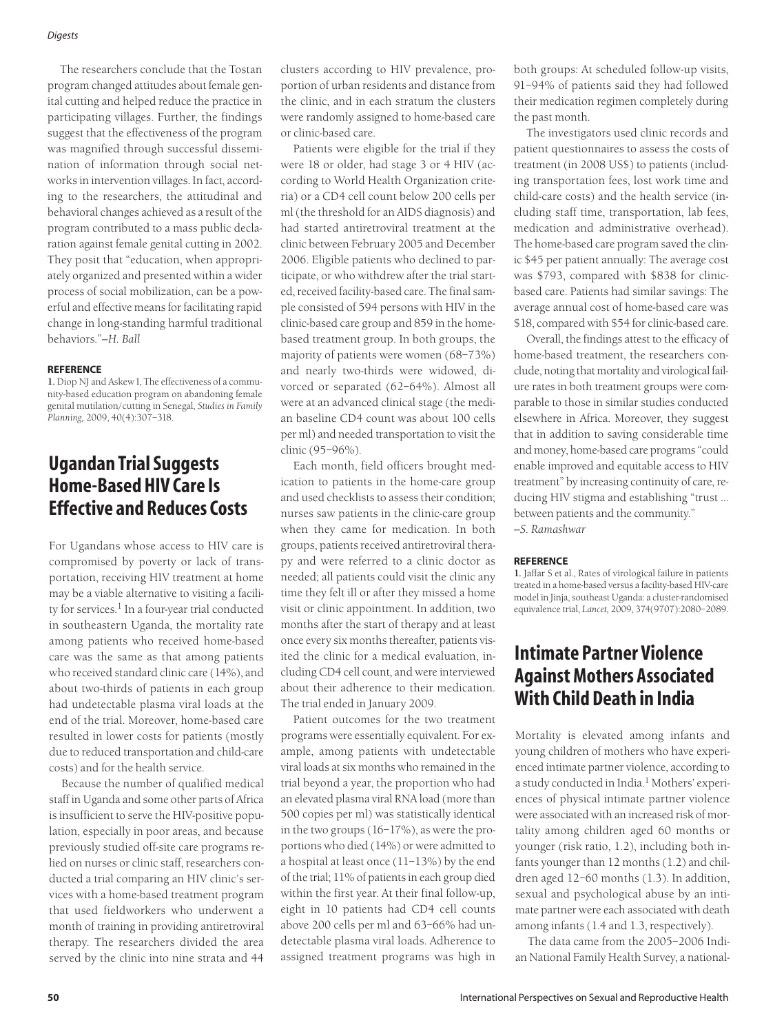#### *Digests*

The researchers conclude that the Tostan program changed attitudes about female genital cutting and helped reduce the practice in participating villages. Further, the findings suggest that the effectiveness of the program was magnified through successful dissemination of information through social networks in intervention villages. In fact, according to the researchers, the attitudinal and behavioral changes achieved as a result of the program contributed to a mass public declaration against female genital cutting in 2002. They posit that "education, when appropriately organized and presented within a wider process of social mobilization, can be a powerful and effective means for facilitating rapid change in long-standing harmful traditional behaviors."*—H. Ball*

#### **REFERENCE**

**1.** Diop NJ and Askew I, The effectiveness of a community-based education program on abandoning female genital mutilation/cutting in Senegal, *Studies in Family Planning,* 2009, 40(4):307–318.

## **Ugandan Trial Suggests Home-Based HIV Care Is Effective and Reduces Costs**

For Ugandans whose access to HIV care is compromised by poverty or lack of transportation, receiving HIV treatment at home may be a viable alternative to visiting a facility for services.<sup>1</sup> In a four-year trial conducted in southeastern Uganda, the mortality rate among patients who received home-based care was the same as that among patients who received standard clinic care (14%), and about two-thirds of patients in each group had undetectable plasma viral loads at the end of the trial. Moreover, home-based care resulted in lower costs for patients (mostly due to reduced transportation and child-care costs) and for the health service.

Because the number of qualified medical staff in Uganda and some other parts of Africa is insufficient to serve the HIV-positive population, especially in poor areas, and because previously studied off-site care programs relied on nurses or clinic staff, researchers conducted a trial comparing an HIV clinic's services with a home-based treatment program that used fieldworkers who underwent a month of training in providing antiretroviral therapy. The researchers divided the area served by the clinic into nine strata and 44

clusters according to HIV prevalence, proportion of urban residents and distance from the clinic, and in each stratum the clusters were randomly assigned to home-based care or clinic-based care.

Patients were eligible for the trial if they were 18 or older, had stage 3 or 4 HIV (according to World Health Organization criteria) or a CD4 cell count below 200 cells per ml (the threshold for an AIDS diagnosis) and had started antiretroviral treatment at the clinic between February 2005 and December 2006. Eligible patients who declined to participate, or who withdrew after the trial started, received facility-based care. The final sample consisted of 594 persons with HIV in the clinic-based care group and 859 in the homebased treatment group. In both groups, the majority of patients were women (68–73%) and nearly two-thirds were widowed, divorced or separated (62–64%). Almost all were at an advanced clinical stage (the median baseline CD4 count was about 100 cells per ml) and needed transportation to visit the clinic (95–96%).

Each month, field officers brought medication to patients in the home-care group and used checklists to assess their condition; nurses saw patients in the clinic-care group when they came for medication. In both groups, patients received antiretroviral therapy and were referred to a clinic doctor as needed; all patients could visit the clinic any time they felt ill or after they missed a home visit or clinic appointment. In addition, two months after the start of therapy and at least once every six months thereafter, patients visited the clinic for a medical evaluation, including CD4 cell count, and were interviewed about their adherence to their medication. The trial ended in January 2009.

Patient outcomes for the two treatment programs were essentially equivalent. For example, among patients with undetectable viral loads at six months who remained in the trial beyond a year, the proportion who had an elevated plasma viral RNA load (more than 500 copies per ml) was statistically identical in the two groups (16–17%), as were the proportions who died (14%) or were admitted to a hospital at least once (11–13%) by the end of the trial; 11% of patients in each group died within the first year. At their final follow-up, eight in 10 patients had CD4 cell counts above 200 cells per ml and 63–66% had undetectable plasma viral loads. Adherence to assigned treatment programs was high in

both groups: At scheduled follow-up visits, 91–94% of patients said they had followed their medication regimen completely during the past month.

The investigators used clinic records and patient questionnaires to assess the costs of treatment (in 2008 US\$) to patients (including transportation fees, lost work time and child-care costs) and the health service (including staff time, transportation, lab fees, medication and administrative overhead). The home-based care program saved the clinic \$45 per patient annually: The average cost was \$793, compared with \$838 for clinicbased care. Patients had similar savings: The average annual cost of home-based care was \$18, compared with \$54 for clinic-based care.

Overall, the findings attest to the efficacy of home-based treatment, the researchers conclude, noting that mortality and virological failure rates in both treatment groups were comparable to those in similar studies conducted elsewhere in Africa. Moreover, they suggest that in addition to saving considerable time and money, home-based care programs "could enable improved and equitable access to HIV treatment" by increasing continuity of care, reducing HIV stigma and establishing "trust … between patients and the community."

*—S. Ramashwar*

#### **REFERENCE**

**1.** Jaffar S et al., Rates of virological failure in patients treated in a home-based versus a facility-based HIV-care model in Jinja, southeast Uganda: a cluster-randomised equivalence trial, *Lancet,* 2009, 374(9707):2080–2089.

# **Intimate Partner Violence Against Mothers Associated With Child Death in India**

Mortality is elevated among infants and young children of mothers who have experienced intimate partner violence, according to a study conducted in India.<sup>1</sup> Mothers' experiences of physical intimate partner violence were associated with an increased risk of mortality among children aged 60 months or younger (risk ratio, 1.2), including both infants younger than 12 months (1.2) and children aged 12–60 months (1.3). In addition, sexual and psychological abuse by an intimate partner were each associated with death among infants (1.4 and 1.3, respectively).

The data came from the 2005–2006 Indian National Family Health Survey, a national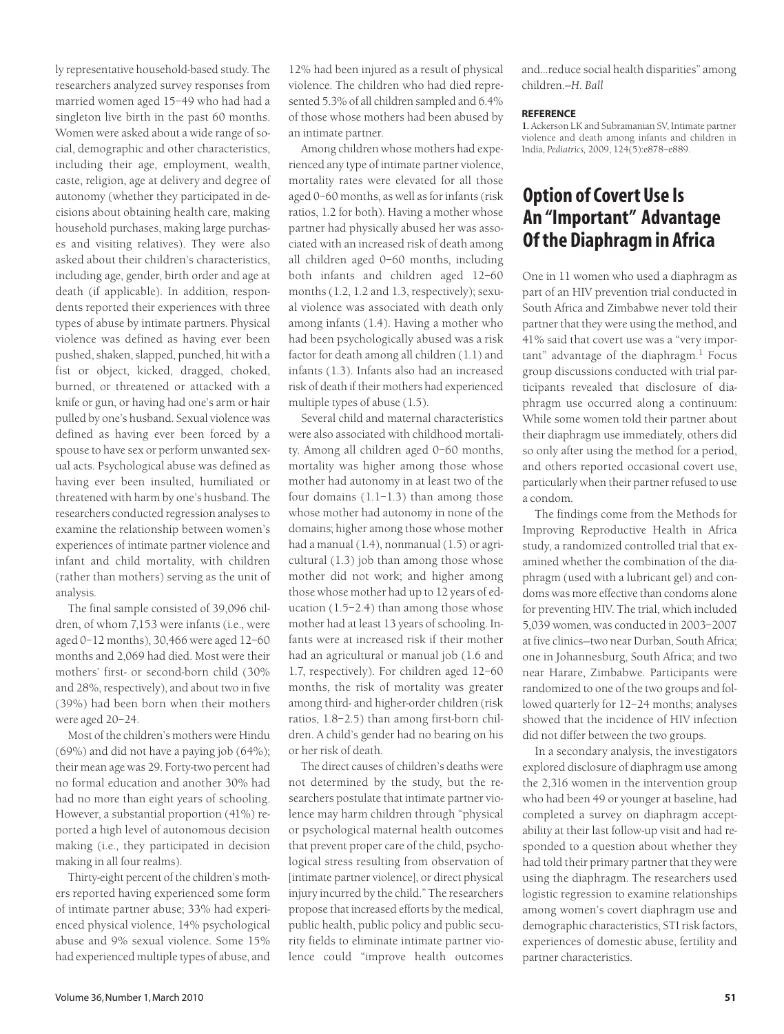ly representative household-based study. The researchers analyzed survey responses from married women aged 15–49 who had had a singleton live birth in the past 60 months. Women were asked about a wide range of social, demographic and other characteristics, including their age, employment, wealth, caste, religion, age at delivery and degree of autonomy (whether they participated in decisions about obtaining health care, making household purchases, making large purchases and visiting relatives). They were also asked about their children's characteristics, including age, gender, birth order and age at death (if applicable). In addition, respondents reported their experiences with three types of abuse by intimate partners. Physical violence was defined as having ever been pushed, shaken, slapped, punched, hit with a fist or object, kicked, dragged, choked, burned, or threatened or attacked with a knife or gun, or having had one's arm or hair pulled by one's husband. Sexual violence was defined as having ever been forced by a spouse to have sex or perform unwanted sexual acts. Psychological abuse was defined as having ever been insulted, humiliated or threatened with harm by one's husband. The researchers conducted regression analyses to examine the relationship between women's experiences of intimate partner violence and infant and child mortality, with children (rather than mothers) serving as the unit of analysis.

The final sample consisted of 39,096 children, of whom 7,153 were infants (i.e., were aged 0–12 months), 30,466 were aged 12–60 months and 2,069 had died. Most were their mothers' first- or second-born child (30% and 28%, respectively), and about two in five (39%) had been born when their mothers were aged 20–24.

Most of the children's mothers were Hindu (69%) and did not have a paying job (64%); their mean age was 29. Forty-two percent had no formal education and another 30% had had no more than eight years of schooling. However, a substantial proportion (41%) reported a high level of autonomous decision making (i.e., they participated in decision making in all four realms).

Thirty-eight percent of the children's mothers reported having experienced some form of intimate partner abuse; 33% had experienced physical violence, 14% psychological abuse and 9% sexual violence. Some 15% had experienced multiple types of abuse, and

12% had been injured as a result of physical violence. The children who had died represented 5.3% of all children sampled and 6.4% of those whose mothers had been abused by an intimate partner.

Among children whose mothers had experienced any type of intimate partner violence, mortality rates were elevated for all those aged 0–60 months, as well as for infants (risk ratios, 1.2 for both). Having a mother whose partner had physically abused her was associated with an increased risk of death among all children aged 0–60 months, including both infants and children aged 12–60 months (1.2, 1.2 and 1.3, respectively); sexual violence was associated with death only among infants (1.4). Having a mother who had been psychologically abused was a risk factor for death among all children (1.1) and infants (1.3). Infants also had an increased risk of death if their mothers had experienced multiple types of abuse (1.5).

Several child and maternal characteristics were also associated with childhood mortality. Among all children aged 0–60 months, mortality was higher among those whose mother had autonomy in at least two of the four domains (1.1–1.3) than among those whose mother had autonomy in none of the domains; higher among those whose mother had a manual (1.4), nonmanual (1.5) or agricultural (1.3) job than among those whose mother did not work; and higher among those whose mother had up to 12 years of education (1.5–2.4) than among those whose mother had at least 13 years of schooling. Infants were at increased risk if their mother had an agricultural or manual job (1.6 and 1.7, respectively). For children aged 12–60 months, the risk of mortality was greater among third- and higher-order children (risk ratios, 1.8–2.5) than among first-born children. A child's gender had no bearing on his or her risk of death.

The direct causes of children's deaths were not determined by the study, but the researchers postulate that intimate partner violence may harm children through "physical or psychological maternal health outcomes that prevent proper care of the child, psychological stress resulting from observation of [intimate partner violence], or direct physical injury incurred by the child." The researchers propose that increased efforts by the medical, public health, public policy and public security fields to eliminate intimate partner violence could "improve health outcomes

and…reduce social health disparities" among children.*—H. Ball*

#### **REFERENCE**

**1.** Ackerson LK and Subramanian SV, Intimate partner violence and death among infants and children in India, *Pediatrics,* 2009, 124(5):e878–e889.

# **Option of Covert Use Is An "Important" Advantage Of the Diaphragm in Africa**

One in 11 women who used a diaphragm as part of an HIV prevention trial conducted in South Africa and Zimbabwe never told their partner that they were using the method, and 41% said that covert use was a "very impor $tant" advantage of the diaphragm<sup>1</sup> Focus$ group discussions conducted with trial participants revealed that disclosure of diaphragm use occurred along a continuum: While some women told their partner about their diaphragm use immediately, others did so only after using the method for a period, and others reported occasional covert use, particularly when their partner refused to use a condom.

The findings come from the Methods for Improving Reproductive Health in Africa study, a randomized controlled trial that examined whether the combination of the diaphragm (used with a lubricant gel) and condoms was more effective than condoms alone for preventing HIV. The trial, which included 5,039 women, was conducted in 2003–2007 at five clinics—two near Durban, South Africa; one in Johannesburg, South Africa; and two near Harare, Zimbabwe. Participants were randomized to one of the two groups and followed quarterly for 12–24 months; analyses showed that the incidence of HIV infection did not differ between the two groups.

In a secondary analysis, the investigators explored disclosure of diaphragm use among the 2,316 women in the intervention group who had been 49 or younger at baseline, had completed a survey on diaphragm acceptability at their last follow-up visit and had responded to a question about whether they had told their primary partner that they were using the diaphragm. The researchers used logistic regression to examine relationships among women's covert diaphragm use and demographic characteristics, STI risk factors, experiences of domestic abuse, fertility and partner characteristics.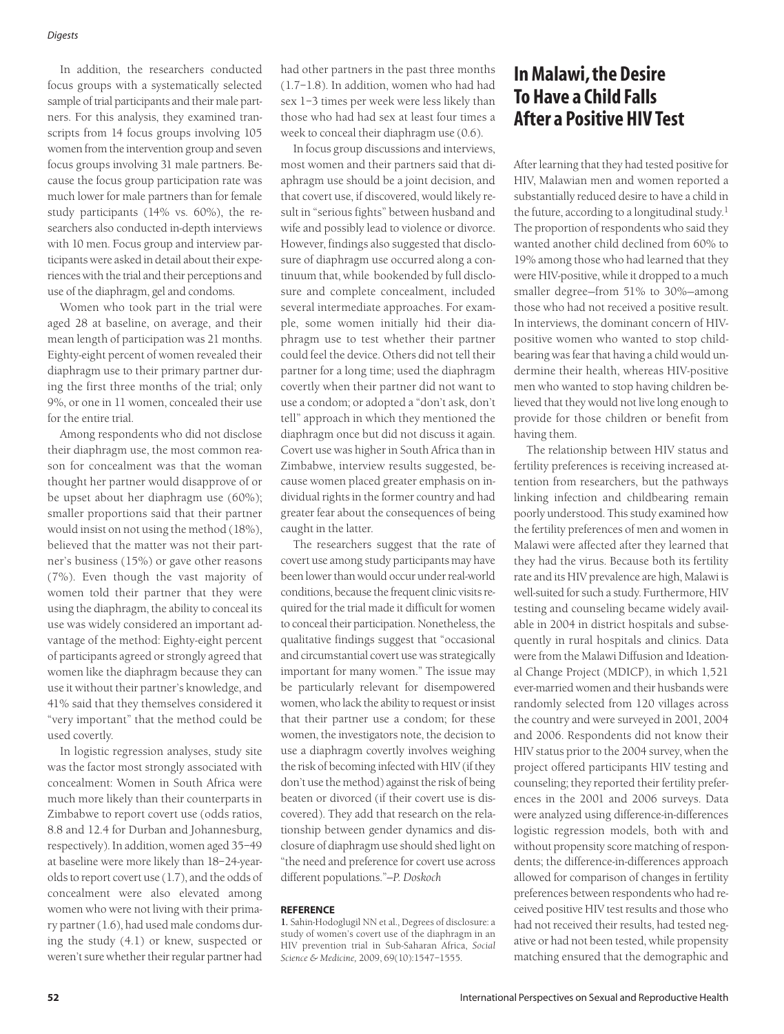#### *Digests*

In addition, the researchers conducted focus groups with a systematically selected sample of trial participants and their male partners. For this analysis, they examined transcripts from 14 focus groups involving 105 women from the intervention group and seven focus groups involving 31 male partners. Because the focus group participation rate was much lower for male partners than for female study participants (14% vs. 60%), the researchers also conducted in-depth interviews with 10 men. Focus group and interview participants were asked in detail about their experiences with the trial and their perceptions and use of the diaphragm, gel and condoms.

Women who took part in the trial were aged 28 at baseline, on average, and their mean length of participation was 21 months. Eighty-eight percent of women revealed their diaphragm use to their primary partner during the first three months of the trial; only 9%, or one in 11 women, concealed their use for the entire trial.

Among respondents who did not disclose their diaphragm use, the most common reason for concealment was that the woman thought her partner would disapprove of or be upset about her diaphragm use (60%); smaller proportions said that their partner would insist on not using the method (18%), believed that the matter was not their partner's business (15%) or gave other reasons (7%). Even though the vast majority of women told their partner that they were using the diaphragm, the ability to conceal its use was widely considered an important advantage of the method: Eighty-eight percent of participants agreed or strongly agreed that women like the diaphragm because they can use it without their partner's knowledge, and 41% said that they themselves considered it "very important" that the method could be used covertly.

In logistic regression analyses, study site was the factor most strongly associated with concealment: Women in South Africa were much more likely than their counterparts in Zimbabwe to report covert use (odds ratios, 8.8 and 12.4 for Durban and Johannesburg, respectively). In addition, women aged 35–49 at baseline were more likely than 18–24-yearolds to report covert use (1.7), and the odds of concealment were also elevated among women who were not living with their primary partner (1.6), had used male condoms during the study (4.1) or knew, suspected or weren't sure whether their regular partner had

had other partners in the past three months (1.7–1.8). In addition, women who had had sex 1–3 times per week were less likely than those who had had sex at least four times a week to conceal their diaphragm use (0.6).

In focus group discussions and interviews, most women and their partners said that diaphragm use should be a joint decision, and that covert use, if discovered, would likely result in "serious fights" between husband and wife and possibly lead to violence or divorce. However, findings also suggested that disclosure of diaphragm use occurred along a continuum that, while bookended by full disclosure and complete concealment, included several intermediate approaches. For example, some women initially hid their diaphragm use to test whether their partner could feel the device. Others did not tell their partner for a long time; used the diaphragm covertly when their partner did not want to use a condom; or adopted a "don't ask, don't tell" approach in which they mentioned the diaphragm once but did not discuss it again. Covert use was higher in South Africa than in Zimbabwe, interview results suggested, because women placed greater emphasis on individual rights in the former country and had greater fear about the consequences of being caught in the latter.

The researchers suggest that the rate of covert use among study participants may have been lower than would occur under real-world conditions, because the frequent clinic visits required for the trial made it difficult for women to conceal their participation. Nonetheless, the qualitative findings suggest that "occasional and circumstantial covert use was strategically important for many women." The issue may be particularly relevant for disempowered women, who lack the ability to request or insist that their partner use a condom; for these women, the investigators note, the decision to use a diaphragm covertly involves weighing the risk of becoming infected with HIV (if they don't use the method) against the risk of being beaten or divorced (if their covert use is discovered). They add that research on the relationship between gender dynamics and disclosure of diaphragm use should shed light on "the need and preference for covert use across different populations."*—P. Doskoch*

### **REFERENCE**

**1.** Sahin-Hodoglugil NN et al., Degrees of disclosure: a study of women's covert use of the diaphragm in an HIV prevention trial in Sub-Saharan Africa, *Social Science & Medicine,* 2009, 69(10):1547–1555.

# **In Malawi, the Desire To Have a Child Falls After a Positive HIV Test**

After learning that they had tested positive for HIV, Malawian men and women reported a substantially reduced desire to have a child in the future, according to a longitudinal study.<sup>1</sup> The proportion of respondents who said they wanted another child declined from 60% to 19% among those who had learned that they were HIV-positive, while it dropped to a much smaller degree—from 51% to 30%—among those who had not received a positive result. In interviews, the dominant concern of HIVpositive women who wanted to stop childbearing was fear that having a child would undermine their health, whereas HIV-positive men who wanted to stop having children believed that they would not live long enough to provide for those children or benefit from having them.

The relationship between HIV status and fertility preferences is receiving increased attention from researchers, but the pathways linking infection and childbearing remain poorly understood. This study examined how the fertility preferences of men and women in Malawi were affected after they learned that they had the virus. Because both its fertility rate and its HIV prevalence are high, Malawi is well-suited for such a study. Furthermore, HIV testing and counseling became widely available in 2004 in district hospitals and subsequently in rural hospitals and clinics. Data were from the Malawi Diffusion and Ideational Change Project (MDICP), in which 1,521 ever-married women and their husbands were randomly selected from 120 villages across the country and were surveyed in 2001, 2004 and 2006. Respondents did not know their HIV status prior to the 2004 survey, when the project offered participants HIV testing and counseling; they reported their fertility preferences in the 2001 and 2006 surveys. Data were analyzed using difference-in-differences logistic regression models, both with and without propensity score matching of respondents; the difference-in-differences approach allowed for comparison of changes in fertility preferences between respondents who had received positive HIV test results and those who had not received their results, had tested negative or had not been tested, while propensity matching ensured that the demographic and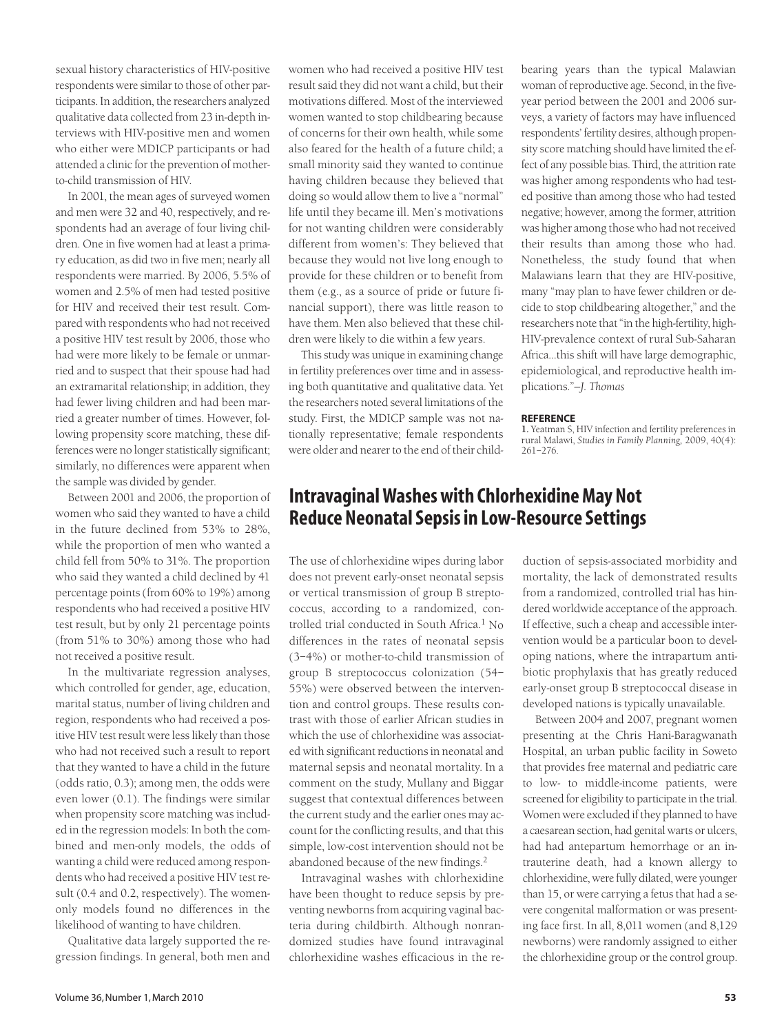sexual history characteristics of HIV-positive respondents were similar to those of other participants. In addition, the researchers analyzed qualitative data collected from 23 in-depth interviews with HIV-positive men and women who either were MDICP participants or had attended a clinic for the prevention of motherto-child transmission of HIV.

In 2001, the mean ages of surveyed women and men were 32 and 40, respectively, and respondents had an average of four living children. One in five women had at least a primary education, as did two in five men; nearly all respondents were married. By 2006, 5.5% of women and 2.5% of men had tested positive for HIV and received their test result. Compared with respondents who had not received a positive HIV test result by 2006, those who had were more likely to be female or unmarried and to suspect that their spouse had had an extramarital relationship; in addition, they had fewer living children and had been married a greater number of times. However, following propensity score matching, these differences were no longer statistically significant; similarly, no differences were apparent when the sample was divided by gender.

Between 2001 and 2006, the proportion of women who said they wanted to have a child in the future declined from 53% to 28%, while the proportion of men who wanted a child fell from 50% to 31%. The proportion who said they wanted a child declined by 41 percentage points (from 60% to 19%) among respondents who had received a positive HIV test result, but by only 21 percentage points (from 51% to 30%) among those who had not received a positive result.

In the multivariate regression analyses, which controlled for gender, age, education, marital status, number of living children and region, respondents who had received a positive HIV test result were less likely than those who had not received such a result to report that they wanted to have a child in the future (odds ratio, 0.3); among men, the odds were even lower (0.1). The findings were similar when propensity score matching was included in the regression models: In both the combined and men-only models, the odds of wanting a child were reduced among respondents who had received a positive HIV test result (0.4 and 0.2, respectively). The womenonly models found no differences in the likelihood of wanting to have children.

Qualitative data largely supported the regression findings. In general, both men and

women who had received a positive HIV test result said they did not want a child, but their motivations differed. Most of the interviewed women wanted to stop childbearing because of concerns for their own health, while some also feared for the health of a future child; a small minority said they wanted to continue having children because they believed that doing so would allow them to live a "normal" life until they became ill. Men's motivations for not wanting children were considerably different from women's: They believed that because they would not live long enough to provide for these children or to benefit from them (e.g., as a source of pride or future financial support), there was little reason to have them. Men also believed that these children were likely to die within a few years.

This study was unique in examining change in fertility preferences over time and in assessing both quantitative and qualitative data. Yet the researchers noted several limitations of the study. First, the MDICP sample was not nationally representative; female respondents were older and nearer to the end of their childbearing years than the typical Malawian woman of reproductive age. Second, in the fiveyear period between the 2001 and 2006 surveys, a variety of factors may have influenced respondents' fertility desires, although propensity score matching should have limited the effect of any possible bias. Third, the attrition rate was higher among respondents who had tested positive than among those who had tested negative; however, among the former, attrition was higher among those who had not received their results than among those who had. Nonetheless, the study found that when Malawians learn that they are HIV-positive, many "may plan to have fewer children or decide to stop childbearing altogether," and the researchers note that "in the high-fertility, high-HIV-prevalence context of rural Sub-Saharan Africa…this shift will have large demographic, epidemiological, and reproductive health implications."*—J. Thomas*

### **REFERENCE**

**1.** Yeatman S, HIV infection and fertility preferences in rural Malawi, *Studies in Family Planning,* 2009, 40(4): 261–276.

## **Intravaginal Washes with Chlorhexidine May Not Reduce Neonatal Sepsis in Low-Resource Settings**

The use of chlorhexidine wipes during labor does not prevent early-onset neonatal sepsis or vertical transmission of group B streptococcus, according to a randomized, controlled trial conducted in South Africa.<sup>1</sup> No differences in the rates of neonatal sepsis (3–4%) or mother-to-child transmission of group B streptococcus colonization (54– 55%) were observed between the intervention and control groups. These results contrast with those of earlier African studies in which the use of chlorhexidine was associated with significant reductions in neonatal and maternal sepsis and neonatal mortality. In a comment on the study, Mullany and Biggar suggest that contextual differences between the current study and the earlier ones may account for the conflicting results, and that this simple, low-cost intervention should not be abandoned because of the new findings.2

Intravaginal washes with chlorhexidine have been thought to reduce sepsis by preventing newborns from acquiring vaginal bacteria during childbirth. Although nonrandomized studies have found intravaginal chlorhexidine washes efficacious in the reduction of sepsis-associated morbidity and mortality, the lack of demonstrated results from a randomized, controlled trial has hindered worldwide acceptance of the approach. If effective, such a cheap and accessible intervention would be a particular boon to developing nations, where the intrapartum antibiotic prophylaxis that has greatly reduced early-onset group B streptococcal disease in developed nations is typically unavailable.

Between 2004 and 2007, pregnant women presenting at the Chris Hani-Baragwanath Hospital, an urban public facility in Soweto that provides free maternal and pediatric care to low- to middle-income patients, were screened for eligibility to participate in the trial. Women were excluded if they planned to have a caesarean section, had genital warts or ulcers, had had antepartum hemorrhage or an intrauterine death, had a known allergy to chlorhexidine, were fully dilated, were younger than 15, or were carrying a fetus that had a severe congenital malformation or was presenting face first. In all, 8,011 women (and 8,129 newborns) were randomly assigned to either the chlorhexidine group or the control group.